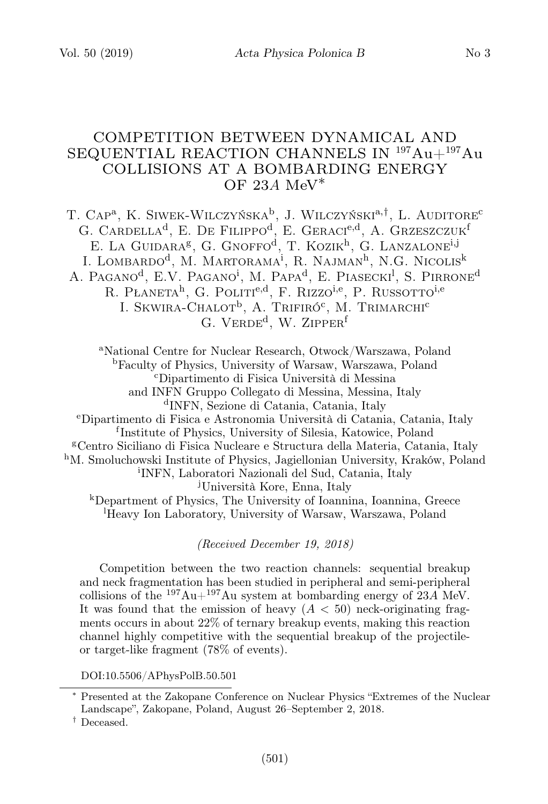# COMPETITION BETWEEN DYNAMICAL AND SEQUENTIAL REACTION CHANNELS IN <sup>197</sup>Au+<sup>197</sup>Au COLLISIONS AT A BOMBARDING ENERGY OF 23A MeV $*$

T. Cap<sup>a</sup>, K. Siwek-Wilczyńska<sup>b</sup>, J. Wilczyński<sup>a,†</sup>, L. Auditore<sup>c</sup> G. CARDELLA<sup>d</sup>, E. De Filippo<sup>d</sup>, E. Geraci<sup>e,d</sup>, A. Grzeszczuk<sup>f</sup> E. LA GUIDARA<sup>g</sup>, G. GNOFFO<sup>d</sup>, T. KOZIK<sup>h</sup>, G. LANZALONE<sup>i,j</sup> I. LOMBARDO<sup>d</sup>, M. MARTORAMA<sup>i</sup>, R. NAJMAN<sup>h</sup>, N.G. Nicolis<sup>k</sup> A. Pagano<sup>d</sup>, E.V. Pagano<sup>i</sup>, M. Papa<sup>d</sup>, E. Piasecki<sup>l</sup>, S. Pirrone<sup>d</sup> R. PŁANETA<sup>h</sup>, G. POLITI<sup>e,d</sup>, F. RIZZO<sup>i,e</sup>, P. RUSSOTTO<sup>i,e</sup> I. SKWIRA-CHALOT<sup>b</sup>, A. Trifiró<sup>c</sup>, M. Trimarchi<sup>c</sup> G. VERDE<sup>d</sup>, W. ZIPPER<sup>f</sup>

<sup>a</sup>National Centre for Nuclear Research, Otwock/Warszawa, Poland <sup>b</sup>Faculty of Physics, University of Warsaw, Warszawa, Poland <sup>c</sup>Dipartimento di Fisica Università di Messina and INFN Gruppo Collegato di Messina, Messina, Italy d INFN, Sezione di Catania, Catania, Italy <sup>e</sup>Dipartimento di Fisica e Astronomia Università di Catania, Catania, Italy f Institute of Physics, University of Silesia, Katowice, Poland <sup>g</sup>Centro Siciliano di Fisica Nucleare e Structura della Materia, Catania, Italy <sup>h</sup>M. Smoluchowski Institute of Physics, Jagiellonian University, Kraków, Poland i INFN, Laboratori Nazionali del Sud, Catania, Italy <sup>j</sup>Università Kore, Enna, Italy <sup>k</sup>Department of Physics, The University of Ioannina, Ioannina, Greece <sup>l</sup>Heavy Ion Laboratory, University of Warsaw, Warszawa, Poland

(Received December 19, 2018)

Competition between the two reaction channels: sequential breakup and neck fragmentation has been studied in peripheral and semi-peripheral collisions of the  $^{197}Au+^{197}Au$  system at bombarding energy of 23A MeV. It was found that the emission of heavy  $(A < 50)$  neck-originating fragments occurs in about 22% of ternary breakup events, making this reaction channel highly competitive with the sequential breakup of the projectileor target-like fragment (78% of events).

DOI:10.5506/APhysPolB.50.501

<sup>∗</sup> Presented at the Zakopane Conference on Nuclear Physics "Extremes of the Nuclear Landscape", Zakopane, Poland, August 26–September 2, 2018.

<sup>†</sup> Deceased.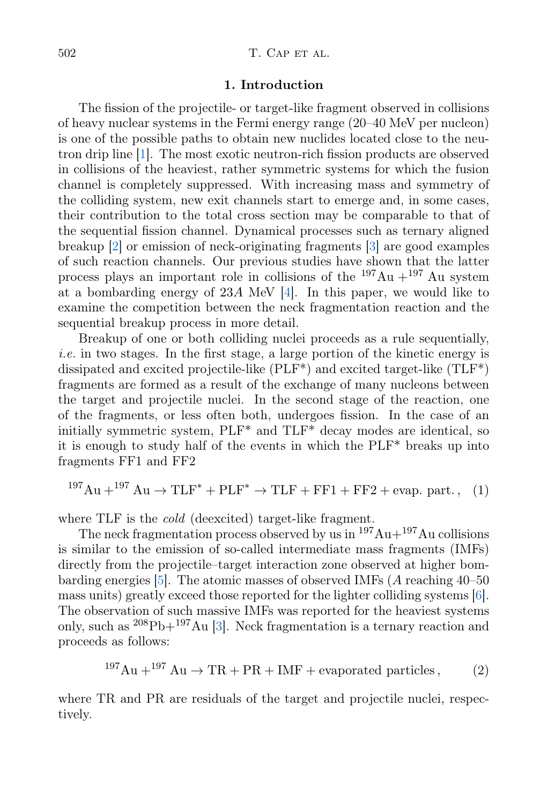## 1. Introduction

The fission of the projectile- or target-like fragment observed in collisions of heavy nuclear systems in the Fermi energy range (20–40 MeV per nucleon) is one of the possible paths to obtain new nuclides located close to the neutron drip line [\[1\]](#page-5-0). The most exotic neutron-rich fission products are observed in collisions of the heaviest, rather symmetric systems for which the fusion channel is completely suppressed. With increasing mass and symmetry of the colliding system, new exit channels start to emerge and, in some cases, their contribution to the total cross section may be comparable to that of the sequential fission channel. Dynamical processes such as ternary aligned breakup [\[2\]](#page-5-1) or emission of neck-originating fragments [\[3\]](#page-5-2) are good examples of such reaction channels. Our previous studies have shown that the latter process plays an important role in collisions of the  $197Au + 197Au$  system at a bombarding energy of 23A MeV [\[4\]](#page-5-3). In this paper, we would like to examine the competition between the neck fragmentation reaction and the sequential breakup process in more detail.

Breakup of one or both colliding nuclei proceeds as a rule sequentially, i.e. in two stages. In the first stage, a large portion of the kinetic energy is dissipated and excited projectile-like (PLF\*) and excited target-like (TLF\*) fragments are formed as a result of the exchange of many nucleons between the target and projectile nuclei. In the second stage of the reaction, one of the fragments, or less often both, undergoes fission. In the case of an initially symmetric system, PLF\* and TLF\* decay modes are identical, so it is enough to study half of the events in which the PLF\* breaks up into fragments FF1 and FF2

<span id="page-1-0"></span>
$$
^{197}\text{Au} + ^{197}\text{Au} \rightarrow \text{TLF}^* + \text{PLF}^* \rightarrow \text{TLF} + \text{FF1} + \text{FF2} + \text{evap. part.}, \quad (1)
$$

where TLF is the *cold* (deexcited) target-like fragment.

The neck fragmentation process observed by us in  $197Au+197Au$  collisions is similar to the emission of so-called intermediate mass fragments (IMFs) directly from the projectile–target interaction zone observed at higher bombarding energies [\[5\]](#page-5-4). The atomic masses of observed IMFs (A reaching 40–50 mass units) greatly exceed those reported for the lighter colliding systems [\[6\]](#page-5-5). The observation of such massive IMFs was reported for the heaviest systems only, such as  $^{208}Pb+^{197}Au$  [\[3\]](#page-5-2). Neck fragmentation is a ternary reaction and proceeds as follows:

<span id="page-1-1"></span>
$$
^{197}\text{Au} + ^{197}\text{Au} \rightarrow \text{TR} + \text{PR} + \text{IMF} + \text{evaporated particles}, \qquad (2)
$$

where TR and PR are residuals of the target and projectile nuclei, respectively.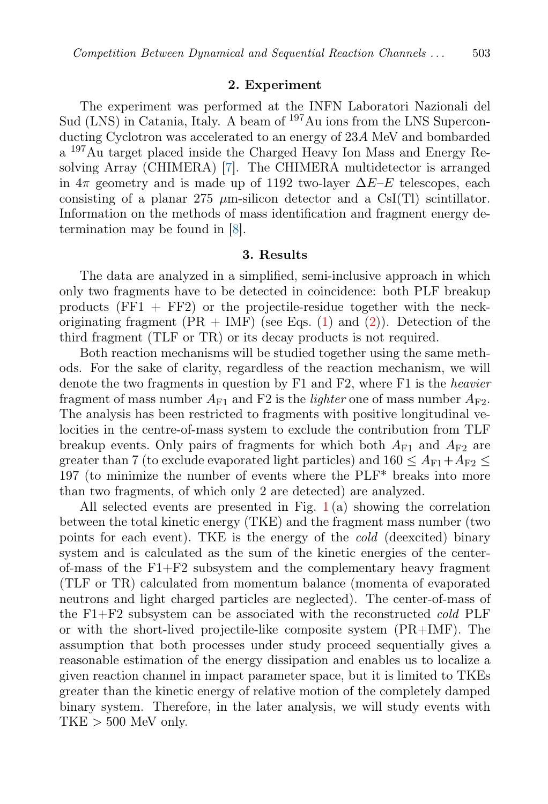## 2. Experiment

The experiment was performed at the INFN Laboratori Nazionali del Sud (LNS) in Catania, Italy. A beam of <sup>197</sup>Au ions from the LNS Superconducting Cyclotron was accelerated to an energy of 23A MeV and bombarded a <sup>197</sup>Au target placed inside the Charged Heavy Ion Mass and Energy Resolving Array (CHIMERA) [\[7\]](#page-5-6). The CHIMERA multidetector is arranged in  $4\pi$  geometry and is made up of 1192 two-layer  $\Delta E-E$  telescopes, each consisting of a planar 275  $\mu$ m-silicon detector and a CsI(Tl) scintillator. Information on the methods of mass identification and fragment energy determination may be found in [\[8\]](#page-5-7).

### 3. Results

The data are analyzed in a simplified, semi-inclusive approach in which only two fragments have to be detected in coincidence: both PLF breakup products  $(FF1 + FF2)$  or the projectile-residue together with the neckoriginating fragment  $(PR + IMF)$  (see Eqs. [\(1\)](#page-1-0) and [\(2\)](#page-1-1)). Detection of the third fragment (TLF or TR) or its decay products is not required.

Both reaction mechanisms will be studied together using the same methods. For the sake of clarity, regardless of the reaction mechanism, we will denote the two fragments in question by F1 and F2, where F1 is the heavier fragment of mass number  $A_{F1}$  and F2 is the *lighter* one of mass number  $A_{F2}$ . The analysis has been restricted to fragments with positive longitudinal velocities in the centre-of-mass system to exclude the contribution from TLF breakup events. Only pairs of fragments for which both  $A_{F1}$  and  $A_{F2}$  are greater than 7 (to exclude evaporated light particles) and  $160 \leq A_{\rm F1}+A_{\rm F2} \leq$ 197 (to minimize the number of events where the PLF\* breaks into more than two fragments, of which only 2 are detected) are analyzed.

All selected events are presented in Fig.  $1(a)$  $1(a)$  showing the correlation between the total kinetic energy (TKE) and the fragment mass number (two points for each event). TKE is the energy of the cold (deexcited) binary system and is calculated as the sum of the kinetic energies of the centerof-mass of the  $F1 + F2$  subsystem and the complementary heavy fragment (TLF or TR) calculated from momentum balance (momenta of evaporated neutrons and light charged particles are neglected). The center-of-mass of the F1+F2 subsystem can be associated with the reconstructed cold PLF or with the short-lived projectile-like composite system (PR+IMF). The assumption that both processes under study proceed sequentially gives a reasonable estimation of the energy dissipation and enables us to localize a given reaction channel in impact parameter space, but it is limited to TKEs greater than the kinetic energy of relative motion of the completely damped binary system. Therefore, in the later analysis, we will study events with  $TKE > 500$  MeV only.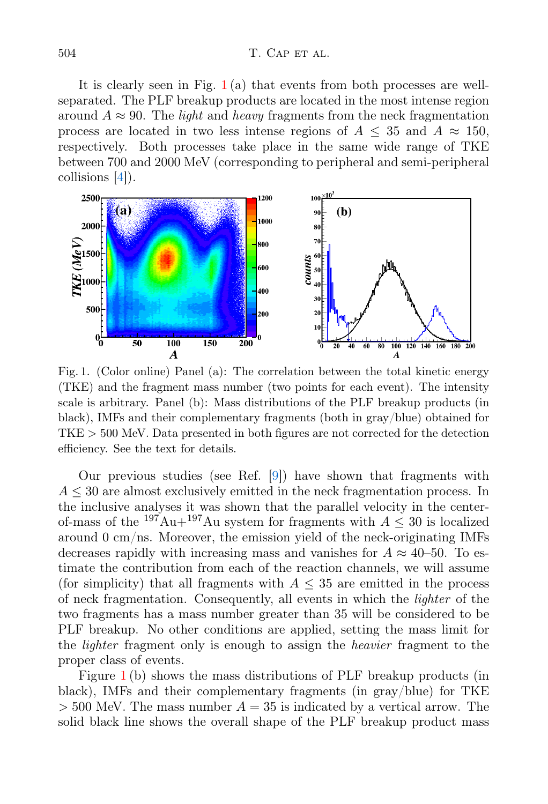### 504 T. CAP ET AL.

It is clearly seen in Fig.  $1(a)$  $1(a)$  that events from both processes are wellseparated. The PLF breakup products are located in the most intense region around  $A \approx 90$ . The *light* and *heavy* fragments from the neck fragmentation process are located in two less intense regions of  $A \leq 35$  and  $A \approx 150$ , respectively. Both processes take place in the same wide range of TKE between 700 and 2000 MeV (corresponding to peripheral and semi-peripheral collisions [\[4\]](#page-5-3)).



<span id="page-3-0"></span>Fig. 1. (Color online) Panel (a): The correlation between the total kinetic energy (TKE) and the fragment mass number (two points for each event). The intensity scale is arbitrary. Panel (b): Mass distributions of the PLF breakup products (in black), IMFs and their complementary fragments (both in gray/blue) obtained for TKE > 500 MeV. Data presented in both figures are not corrected for the detection efficiency. See the text for details.

Our previous studies (see Ref. [\[9\]](#page-5-8)) have shown that fragments with  $A \leq 30$  are almost exclusively emitted in the neck fragmentation process. In the inclusive analyses it was shown that the parallel velocity in the centerof-mass of the  $197\text{Au}+197\text{Au}$  system for fragments with  $A \leq 30$  is localized around 0 cm/ns. Moreover, the emission yield of the neck-originating IMFs decreases rapidly with increasing mass and vanishes for  $A \approx 40$ –50. To estimate the contribution from each of the reaction channels, we will assume (for simplicity) that all fragments with  $A \leq 35$  are emitted in the process of neck fragmentation. Consequently, all events in which the lighter of the two fragments has a mass number greater than 35 will be considered to be PLF breakup. No other conditions are applied, setting the mass limit for the *lighter* fragment only is enough to assign the *heavier* fragment to the proper class of events.

Figure [1](#page-3-0) (b) shows the mass distributions of PLF breakup products (in black), IMFs and their complementary fragments (in gray/blue) for TKE  $> 500$  MeV. The mass number  $A = 35$  is indicated by a vertical arrow. The solid black line shows the overall shape of the PLF breakup product mass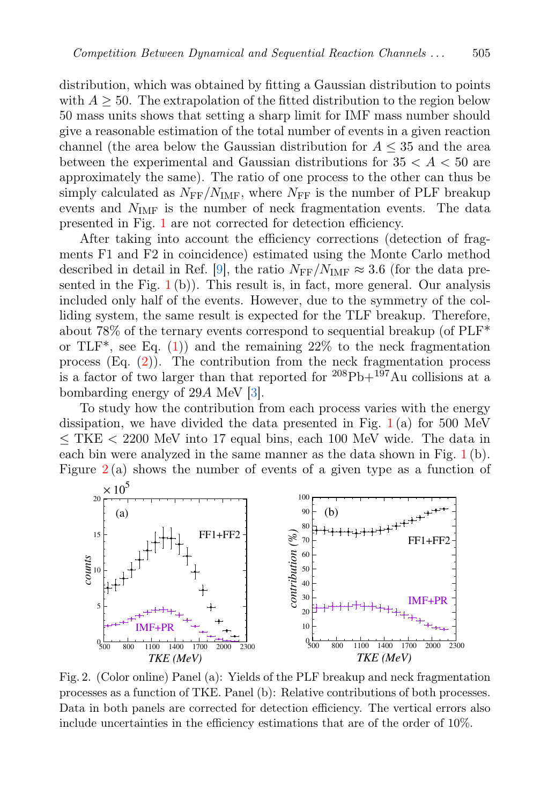distribution, which was obtained by fitting a Gaussian distribution to points with  $A > 50$ . The extrapolation of the fitted distribution to the region below 50 mass units shows that setting a sharp limit for IMF mass number should give a reasonable estimation of the total number of events in a given reaction channel (the area below the Gaussian distribution for  $A \leq 35$  and the area between the experimental and Gaussian distributions for  $35 < A < 50$  are approximately the same). The ratio of one process to the other can thus be simply calculated as  $N_{\text{FF}}/N_{\text{IMF}}$ , where  $N_{\text{FF}}$  is the number of PLF breakup events and  $N_{\text{IMF}}$  is the number of neck fragmentation events. The data presented in Fig. [1](#page-3-0) are not corrected for detection efficiency.

After taking into account the efficiency corrections (detection of fragments F1 and F2 in coincidence) estimated using the Monte Carlo method described in detail in Ref. [\[9\]](#page-5-8), the ratio  $N_{\text{FF}}/N_{\text{IMF}} \approx 3.6$  (for the data presented in the Fig.  $1(b)$  $1(b)$ . This result is, in fact, more general. Our analysis included only half of the events. However, due to the symmetry of the colliding system, the same result is expected for the TLF breakup. Therefore, about 78% of the ternary events correspond to sequential breakup (of PLF\* or TLF<sup>\*</sup>, see Eq. [\(1\)](#page-1-0)) and the remaining  $22\%$  to the neck fragmentation process  $(Eq. (2))$  $(Eq. (2))$  $(Eq. (2))$ . The contribution from the neck fragmentation process is a factor of two larger than that reported for  $208Pb+197Au$  collisions at a bombarding energy of 29A MeV [\[3\]](#page-5-2).

To study how the contribution from each process varies with the energy dissipation, we have divided the data presented in Fig.  $1(a)$  $1(a)$  for 500 MeV  $\leq$  TKE  $<$  2200 MeV into 17 equal bins, each 100 MeV wide. The data in each bin were analyzed in the same manner as the data shown in Fig. [1](#page-3-0) (b). Figure  $2(a)$  $2(a)$  shows the number of events of a given type as a function of



<span id="page-4-0"></span>Fig. 2. (Color online) Panel (a): Yields of the PLF breakup and neck fragmentation processes as a function of TKE. Panel (b): Relative contributions of both processes. Data in both panels are corrected for detection efficiency. The vertical errors also include uncertainties in the efficiency estimations that are of the order of 10%.